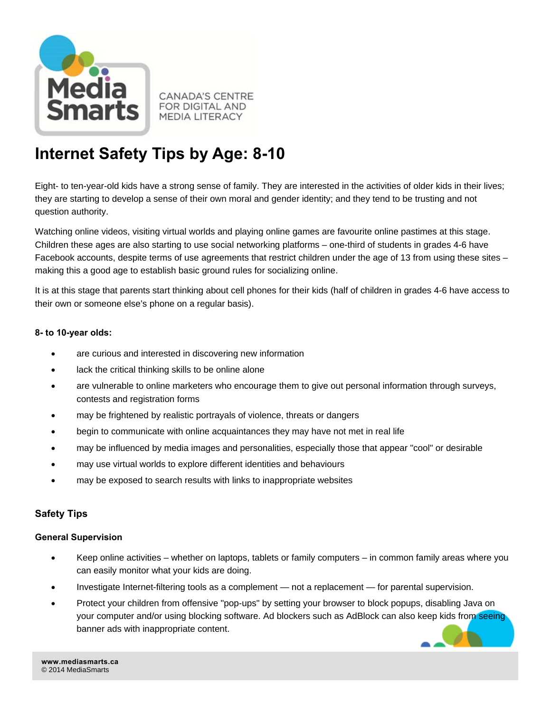

**CANADA'S CENTRE FOR DIGITAL AND MEDIA LITERACY** 

# **Internet Safety Tips by Age: 8-10**

Eight- to ten-year-old kids have a strong sense of family. They are interested in the activities of older kids in their lives; they are starting to develop a sense of their own moral and gender identity; and they tend to be trusting and not question authority.

Watching online videos, visiting virtual worlds and playing online games are favourite online pastimes at this stage. Children these ages are also starting to use social networking platforms – one-third of students in grades 4-6 have Facebook accounts, despite terms of use agreements that restrict children under the age of 13 from using these sites – making this a good age to establish basic ground rules for socializing online.

It is at this stage that parents start thinking about cell phones for their kids (half of children in grades 4-6 have access to their own or someone else's phone on a regular basis).

## **8- to 10-year olds:**

- are curious and interested in discovering new information
- lack the critical thinking skills to be online alone
- are vulnerable to online marketers who encourage them to give out personal information through surveys, contests and registration forms
- may be frightened by realistic portrayals of violence, threats or dangers
- begin to communicate with online acquaintances they may have not met in real life
- may be influenced by media images and personalities, especially those that appear "cool" or desirable
- may use virtual worlds to explore different identities and behaviours
- may be exposed to search results with links to inappropriate websites

# **Safety Tips**

### **General Supervision**

- Keep online activities whether on laptops, tablets or family computers in common family areas where you can easily monitor what your kids are doing.
- Investigate Internet-filtering tools as a complement not a replacement for parental supervision.
- Protect your children from offensive "pop-ups" by setting your browser to block popups, disabling Java on your computer and/or using blocking software. Ad blockers such as AdBlock can also keep kids from seeing banner ads with inappropriate content.